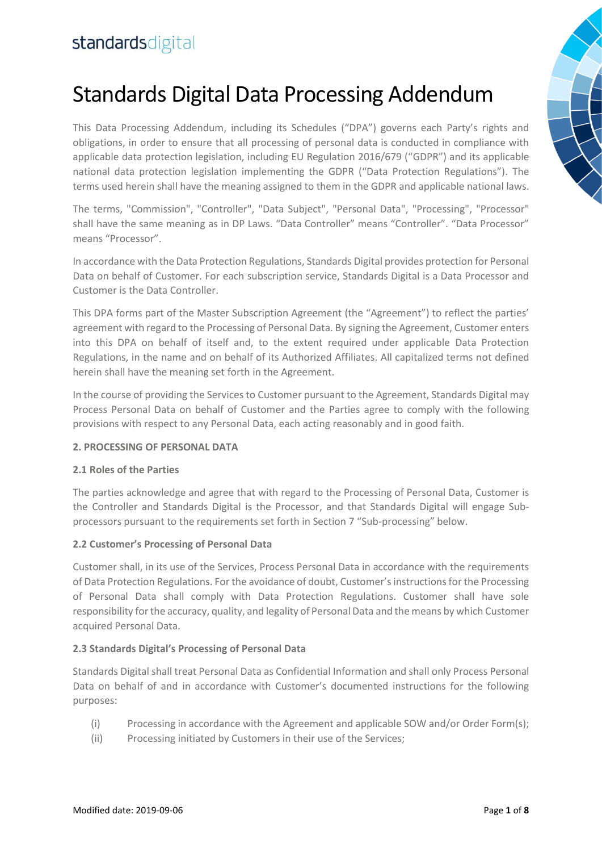# Standards Digital Data Processing Addendum

This Data Processing Addendum, including its Schedules ("DPA") governs each Party's rights and obligations, in order to ensure that all processing of personal data is conducted in compliance with applicable data protection legislation, including EU Regulation 2016/679 ("GDPR") and its applicable national data protection legislation implementing the GDPR ("Data Protection Regulations"). The terms used herein shall have the meaning assigned to them in the GDPR and applicable national laws.

The terms, "Commission", "Controller", "Data Subject", "Personal Data", "Processing", "Processor" shall have the same meaning as in DP Laws. "Data Controller" means "Controller". "Data Processor" means "Processor".

In accordance with the Data Protection Regulations, Standards Digital provides protection for Personal Data on behalf of Customer. For each subscription service, Standards Digital is a Data Processor and Customer is the Data Controller.

This DPA forms part of the Master Subscription Agreement (the "Agreement") to reflect the parties' agreement with regard to the Processing of Personal Data. By signing the Agreement, Customer enters into this DPA on behalf of itself and, to the extent required under applicable Data Protection Regulations, in the name and on behalf of its Authorized Affiliates. All capitalized terms not defined herein shall have the meaning set forth in the Agreement.

In the course of providing the Services to Customer pursuant to the Agreement, Standards Digital may Process Personal Data on behalf of Customer and the Parties agree to comply with the following provisions with respect to any Personal Data, each acting reasonably and in good faith.

#### **2. PROCESSING OF PERSONAL DATA**

#### **2.1 Roles of the Parties**

The parties acknowledge and agree that with regard to the Processing of Personal Data, Customer is the Controller and Standards Digital is the Processor, and that Standards Digital will engage Subprocessors pursuant to the requirements set forth in Section 7 "Sub-processing" below.

#### **2.2 Customer's Processing of Personal Data**

Customer shall, in its use of the Services, Process Personal Data in accordance with the requirements of Data Protection Regulations. For the avoidance of doubt, Customer's instructions for the Processing of Personal Data shall comply with Data Protection Regulations. Customer shall have sole responsibility for the accuracy, quality, and legality of Personal Data and the means by which Customer acquired Personal Data.

#### **2.3 Standards Digital's Processing of Personal Data**

Standards Digital shall treat Personal Data as Confidential Information and shall only Process Personal Data on behalf of and in accordance with Customer's documented instructions for the following purposes:

- (i) Processing in accordance with the Agreement and applicable SOW and/or Order Form(s);
- (ii) Processing initiated by Customers in their use of the Services;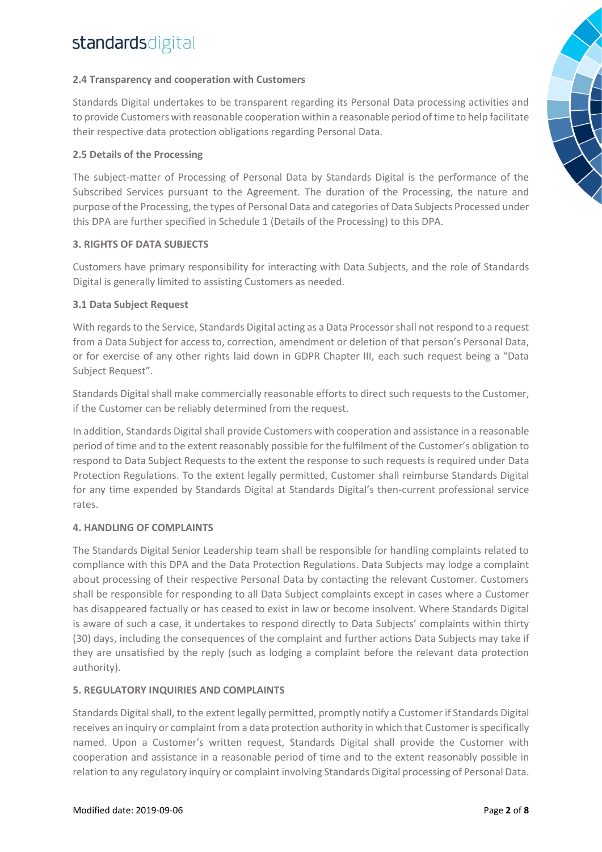#### **2.4 Transparency and cooperation with Customers**

Standards Digital undertakes to be transparent regarding its Personal Data processing activities and to provide Customers with reasonable cooperation within a reasonable period of time to help facilitate their respective data protection obligations regarding Personal Data.

#### **2.5 Details of the Processing**

The subject-matter of Processing of Personal Data by Standards Digital is the performance of the Subscribed Services pursuant to the Agreement. The duration of the Processing, the nature and purpose of the Processing, the types of Personal Data and categories of Data Subjects Processed under this DPA are further specified in Schedule 1 (Details of the Processing) to this DPA.

#### **3. RIGHTS OF DATA SUBJECTS**

Customers have primary responsibility for interacting with Data Subjects, and the role of Standards Digital is generally limited to assisting Customers as needed.

#### **3.1 Data Subject Request**

With regards to the Service, Standards Digital acting as a Data Processor shall not respond to a request from a Data Subject for access to, correction, amendment or deletion of that person's Personal Data, or for exercise of any other rights laid down in GDPR Chapter III, each such request being a "Data Subject Request".

Standards Digital shall make commercially reasonable efforts to direct such requests to the Customer, if the Customer can be reliably determined from the request.

In addition, Standards Digital shall provide Customers with cooperation and assistance in a reasonable period of time and to the extent reasonably possible for the fulfilment of the Customer's obligation to respond to Data Subject Requests to the extent the response to such requests is required under Data Protection Regulations. To the extent legally permitted, Customer shall reimburse Standards Digital for any time expended by Standards Digital at Standards Digital's then-current professional service rates.

#### **4. HANDLING OF COMPLAINTS**

The Standards Digital Senior Leadership team shall be responsible for handling complaints related to compliance with this DPA and the Data Protection Regulations. Data Subjects may lodge a complaint about processing of their respective Personal Data by contacting the relevant Customer. Customers shall be responsible for responding to all Data Subject complaints except in cases where a Customer has disappeared factually or has ceased to exist in law or become insolvent. Where Standards Digital is aware of such a case, it undertakes to respond directly to Data Subjects' complaints within thirty (30) days, including the consequences of the complaint and further actions Data Subjects may take if they are unsatisfied by the reply (such as lodging a complaint before the relevant data protection authority).

#### **5. REGULATORY INQUIRIES AND COMPLAINTS**

Standards Digital shall, to the extent legally permitted, promptly notify a Customer if Standards Digital receives an inquiry or complaint from a data protection authority in which that Customer is specifically named. Upon a Customer's written request, Standards Digital shall provide the Customer with cooperation and assistance in a reasonable period of time and to the extent reasonably possible in relation to any regulatory inquiry or complaint involving Standards Digital processing of Personal Data.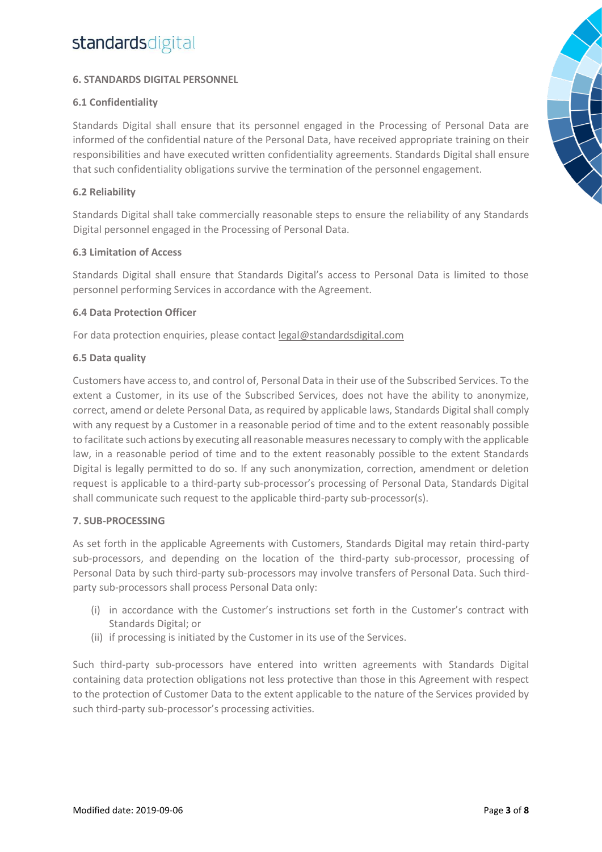#### **6. STANDARDS DIGITAL PERSONNEL**

#### **6.1 Confidentiality**

Standards Digital shall ensure that its personnel engaged in the Processing of Personal Data are informed of the confidential nature of the Personal Data, have received appropriate training on their responsibilities and have executed written confidentiality agreements. Standards Digital shall ensure that such confidentiality obligations survive the termination of the personnel engagement.

#### **6.2 Reliability**

Standards Digital shall take commercially reasonable steps to ensure the reliability of any Standards Digital personnel engaged in the Processing of Personal Data.

#### **6.3 Limitation of Access**

Standards Digital shall ensure that Standards Digital's access to Personal Data is limited to those personnel performing Services in accordance with the Agreement.

#### **6.4 Data Protection Officer**

For data protection enquiries, please contact [legal@standardsdigital.com](mailto:legal@standardsdigital.com)

#### **6.5 Data quality**

Customers have access to, and control of, Personal Data in their use of the Subscribed Services. To the extent a Customer, in its use of the Subscribed Services, does not have the ability to anonymize, correct, amend or delete Personal Data, as required by applicable laws, Standards Digital shall comply with any request by a Customer in a reasonable period of time and to the extent reasonably possible to facilitate such actions by executing all reasonable measures necessary to comply with the applicable law, in a reasonable period of time and to the extent reasonably possible to the extent Standards Digital is legally permitted to do so. If any such anonymization, correction, amendment or deletion request is applicable to a third-party sub-processor's processing of Personal Data, Standards Digital shall communicate such request to the applicable third-party sub-processor(s).

#### **7. SUB-PROCESSING**

As set forth in the applicable Agreements with Customers, Standards Digital may retain third-party sub-processors, and depending on the location of the third-party sub-processor, processing of Personal Data by such third-party sub-processors may involve transfers of Personal Data. Such thirdparty sub-processors shall process Personal Data only:

- (i) in accordance with the Customer's instructions set forth in the Customer's contract with Standards Digital; or
- (ii) if processing is initiated by the Customer in its use of the Services.

Such third-party sub-processors have entered into written agreements with Standards Digital containing data protection obligations not less protective than those in this Agreement with respect to the protection of Customer Data to the extent applicable to the nature of the Services provided by such third-party sub-processor's processing activities.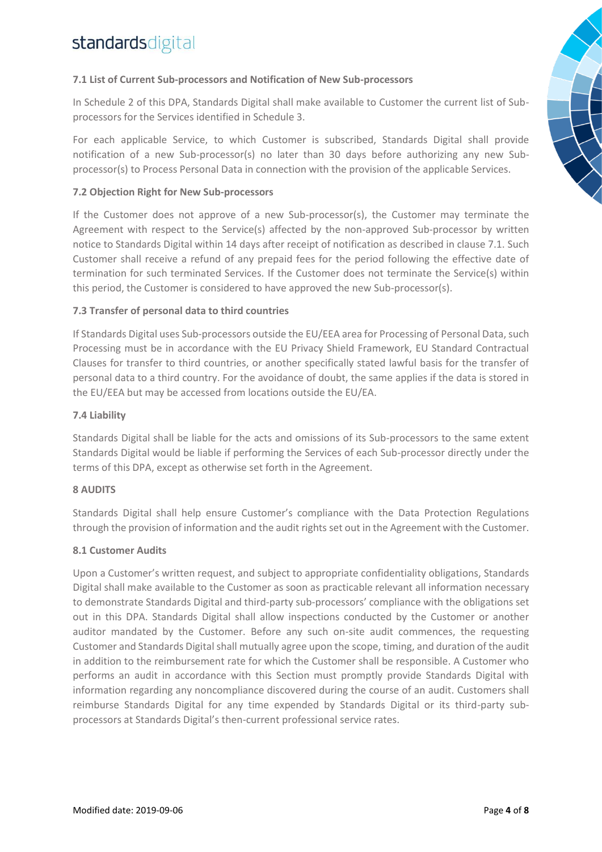#### **7.1 List of Current Sub-processors and Notification of New Sub-processors**

In Schedule 2 of this DPA, Standards Digital shall make available to Customer the current list of Subprocessors for the Services identified in Schedule 3.

For each applicable Service, to which Customer is subscribed, Standards Digital shall provide notification of a new Sub-processor(s) no later than 30 days before authorizing any new Subprocessor(s) to Process Personal Data in connection with the provision of the applicable Services.

#### **7.2 Objection Right for New Sub-processors**

If the Customer does not approve of a new Sub-processor(s), the Customer may terminate the Agreement with respect to the Service(s) affected by the non-approved Sub-processor by written notice to Standards Digital within 14 days after receipt of notification as described in clause 7.1. Such Customer shall receive a refund of any prepaid fees for the period following the effective date of termination for such terminated Services. If the Customer does not terminate the Service(s) within this period, the Customer is considered to have approved the new Sub-processor(s).

#### **7.3 Transfer of personal data to third countries**

If Standards Digital uses Sub-processors outside the EU/EEA area for Processing of Personal Data, such Processing must be in accordance with the EU Privacy Shield Framework, EU Standard Contractual Clauses for transfer to third countries, or another specifically stated lawful basis for the transfer of personal data to a third country. For the avoidance of doubt, the same applies if the data is stored in the EU/EEA but may be accessed from locations outside the EU/EA.

#### **7.4 Liability**

Standards Digital shall be liable for the acts and omissions of its Sub-processors to the same extent Standards Digital would be liable if performing the Services of each Sub-processor directly under the terms of this DPA, except as otherwise set forth in the Agreement.

#### **8 AUDITS**

Standards Digital shall help ensure Customer's compliance with the Data Protection Regulations through the provision of information and the audit rights set out in the Agreement with the Customer.

#### **8.1 Customer Audits**

Upon a Customer's written request, and subject to appropriate confidentiality obligations, Standards Digital shall make available to the Customer as soon as practicable relevant all information necessary to demonstrate Standards Digital and third-party sub-processors' compliance with the obligations set out in this DPA. Standards Digital shall allow inspections conducted by the Customer or another auditor mandated by the Customer. Before any such on-site audit commences, the requesting Customer and Standards Digital shall mutually agree upon the scope, timing, and duration of the audit in addition to the reimbursement rate for which the Customer shall be responsible. A Customer who performs an audit in accordance with this Section must promptly provide Standards Digital with information regarding any noncompliance discovered during the course of an audit. Customers shall reimburse Standards Digital for any time expended by Standards Digital or its third-party subprocessors at Standards Digital's then-current professional service rates.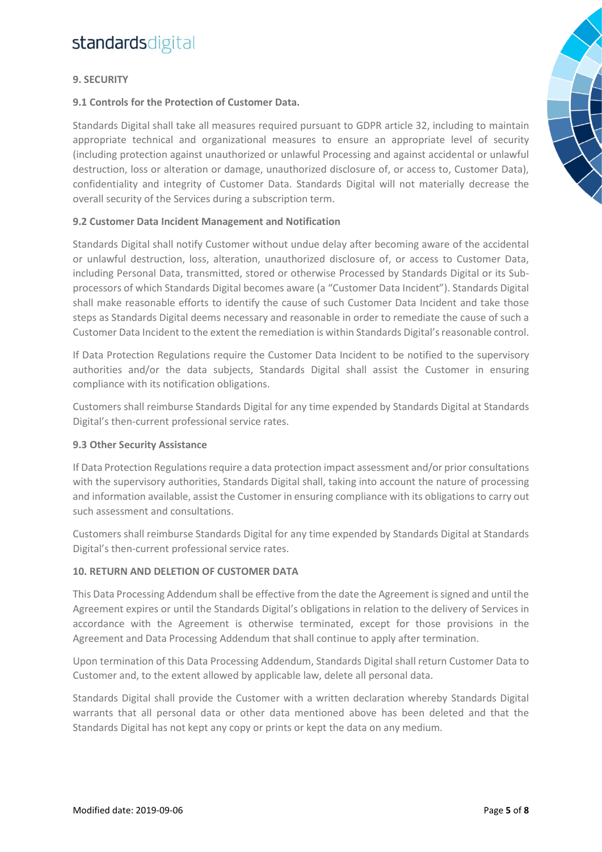#### **9. SECURITY**

#### **9.1 Controls for the Protection of Customer Data.**

Standards Digital shall take all measures required pursuant to GDPR article 32, including to maintain appropriate technical and organizational measures to ensure an appropriate level of security (including protection against unauthorized or unlawful Processing and against accidental or unlawful destruction, loss or alteration or damage, unauthorized disclosure of, or access to, Customer Data), confidentiality and integrity of Customer Data. Standards Digital will not materially decrease the overall security of the Services during a subscription term.

#### **9.2 Customer Data Incident Management and Notification**

Standards Digital shall notify Customer without undue delay after becoming aware of the accidental or unlawful destruction, loss, alteration, unauthorized disclosure of, or access to Customer Data, including Personal Data, transmitted, stored or otherwise Processed by Standards Digital or its Subprocessors of which Standards Digital becomes aware (a "Customer Data Incident"). Standards Digital shall make reasonable efforts to identify the cause of such Customer Data Incident and take those steps as Standards Digital deems necessary and reasonable in order to remediate the cause of such a Customer Data Incident to the extent the remediation is within Standards Digital's reasonable control.

If Data Protection Regulations require the Customer Data Incident to be notified to the supervisory authorities and/or the data subjects, Standards Digital shall assist the Customer in ensuring compliance with its notification obligations.

Customers shall reimburse Standards Digital for any time expended by Standards Digital at Standards Digital's then-current professional service rates.

#### **9.3 Other Security Assistance**

If Data Protection Regulations require a data protection impact assessment and/or prior consultations with the supervisory authorities, Standards Digital shall, taking into account the nature of processing and information available, assist the Customer in ensuring compliance with its obligations to carry out such assessment and consultations.

Customers shall reimburse Standards Digital for any time expended by Standards Digital at Standards Digital's then-current professional service rates.

#### **10. RETURN AND DELETION OF CUSTOMER DATA**

This Data Processing Addendum shall be effective from the date the Agreement is signed and until the Agreement expires or until the Standards Digital's obligations in relation to the delivery of Services in accordance with the Agreement is otherwise terminated, except for those provisions in the Agreement and Data Processing Addendum that shall continue to apply after termination.

Upon termination of this Data Processing Addendum, Standards Digital shall return Customer Data to Customer and, to the extent allowed by applicable law, delete all personal data.

Standards Digital shall provide the Customer with a written declaration whereby Standards Digital warrants that all personal data or other data mentioned above has been deleted and that the Standards Digital has not kept any copy or prints or kept the data on any medium.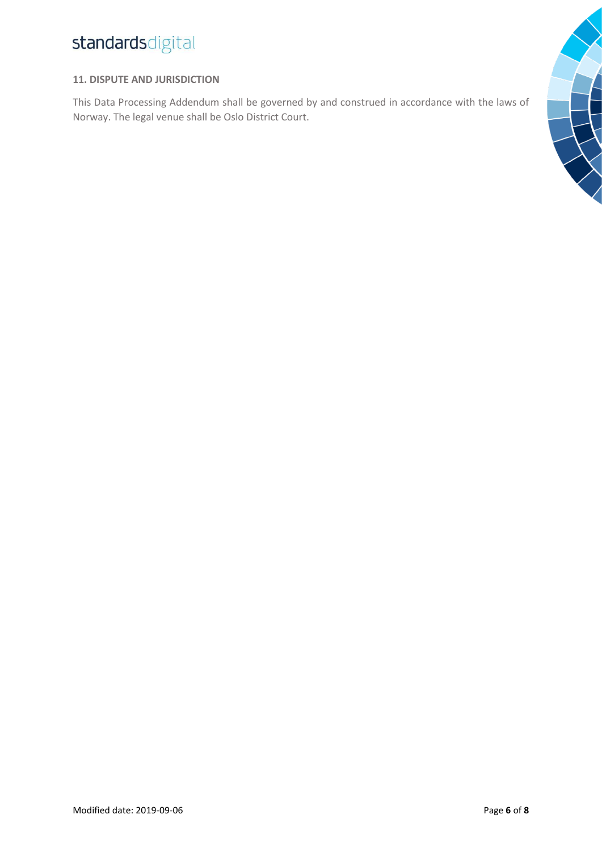#### **11. DISPUTE AND JURISDICTION**

This Data Processing Addendum shall be governed by and construed in accordance with the laws of Norway. The legal venue shall be Oslo District Court.

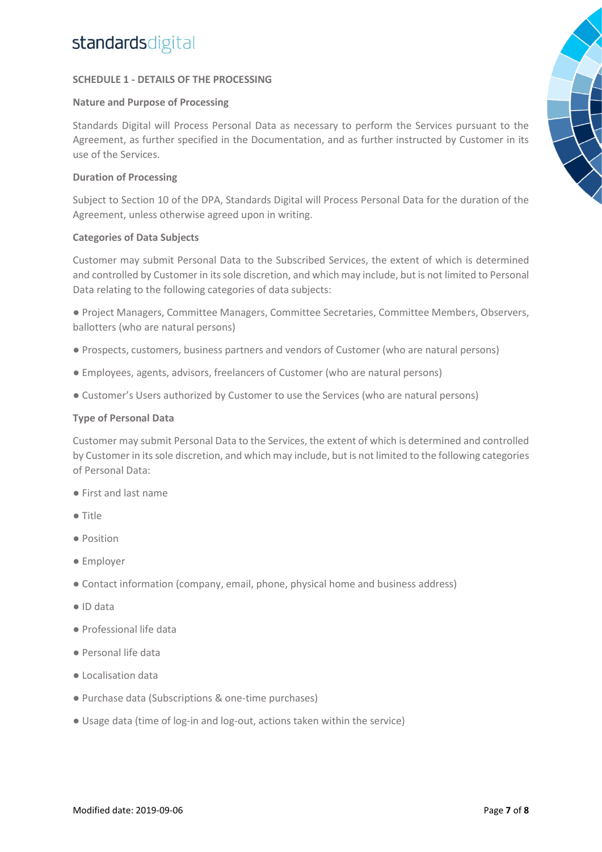#### **SCHEDULE 1 - DETAILS OF THE PROCESSING**

#### **Nature and Purpose of Processing**

Standards Digital will Process Personal Data as necessary to perform the Services pursuant to the Agreement, as further specified in the Documentation, and as further instructed by Customer in its use of the Services.

#### **Duration of Processing**

Subject to Section 10 of the DPA, Standards Digital will Process Personal Data for the duration of the Agreement, unless otherwise agreed upon in writing.

#### **Categories of Data Subjects**

Customer may submit Personal Data to the Subscribed Services, the extent of which is determined and controlled by Customer in its sole discretion, and which may include, but is not limited to Personal Data relating to the following categories of data subjects:

● Project Managers, Committee Managers, Committee Secretaries, Committee Members, Observers, ballotters (who are natural persons)

- Prospects, customers, business partners and vendors of Customer (who are natural persons)
- Employees, agents, advisors, freelancers of Customer (who are natural persons)
- Customer's Users authorized by Customer to use the Services (who are natural persons)

#### **Type of Personal Data**

Customer may submit Personal Data to the Services, the extent of which is determined and controlled by Customer in its sole discretion, and which may include, but is not limited to the following categories of Personal Data:

- First and last name
- Title
- Position
- Employer
- Contact information (company, email, phone, physical home and business address)
- ID data
- Professional life data
- Personal life data
- Localisation data
- Purchase data (Subscriptions & one-time purchases)
- Usage data (time of log-in and log-out, actions taken within the service)